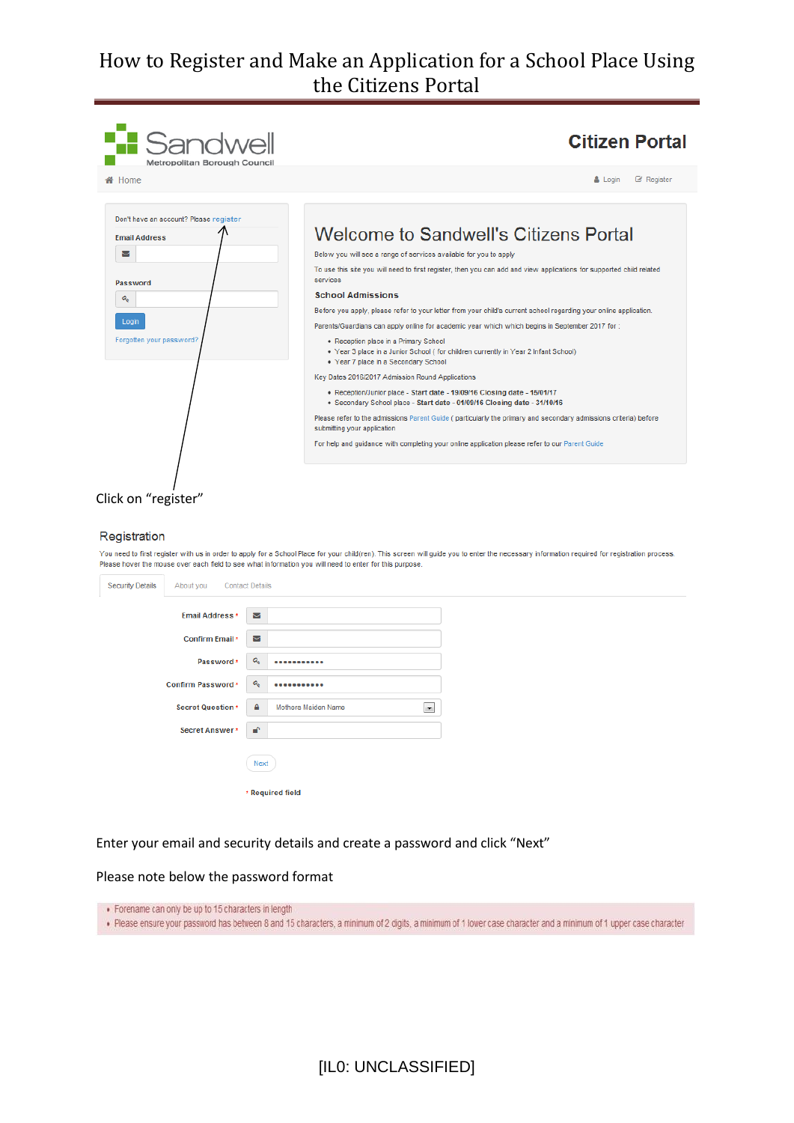| <b>B</b> Sandwell<br>Metropolitan Borough Council | <b>Citizen Portal</b>                                                                                                                                               |
|---------------------------------------------------|---------------------------------------------------------------------------------------------------------------------------------------------------------------------|
| <b>备</b> Home                                     | $\mathbb{Z}$ Register<br>$\Delta$ Login                                                                                                                             |
| Don't have an account? Please register            |                                                                                                                                                                     |
| <b>Fmail Address</b>                              | Welcome to Sandwell's Citizens Portal                                                                                                                               |
| ⊠                                                 | Below you will see a range of services available for you to apply                                                                                                   |
| Password                                          | To use this site you will need to first register, then you can add and view applications for supported child related<br>services                                    |
| $\mathbf{a}_{\mathrm{e}}$                         | <b>School Admissions</b>                                                                                                                                            |
|                                                   | Before you apply, please refer to your letter from your child's current school regarding your online application.                                                   |
| Login                                             | Parents/Guardians can apply online for academic year which which begins in September 2017 for:                                                                      |
| Forgotten your password?                          | • Reception place in a Primary School<br>. Year 3 place in a Junior School (for children currently in Year 2 Infant School)<br>. Year 7 place in a Secondary School |
|                                                   | Key Dates 2016/2017 Admission Round Applications                                                                                                                    |
|                                                   | • Reception/Junior place - Start date - 19/09/16 Closing date - 15/01/17<br>· Secondary School place - Start date - 01/09/16 Closing date - 31/10/16                |
|                                                   | Please refer to the admissions Parent Guide (particularly the primary and secondary admissions criteria) before<br>submitting your application                      |
|                                                   | For help and quidance with completing your online application please refer to our Parent Guide                                                                      |
|                                                   |                                                                                                                                                                     |
| Click on "register"                               |                                                                                                                                                                     |

#### Registration

You need to first register with us in order to apply for a School Place for your child(ren). This screen will guide you to enter the necessary information required for registration process. Please hover the mouse over each field to see what information you will need to enter for this purpose.

| ⊠ |                                                                                                                                         |
|---|-----------------------------------------------------------------------------------------------------------------------------------------|
| Σ |                                                                                                                                         |
| ۹ |                                                                                                                                         |
| ۹ |                                                                                                                                         |
| ۵ | Mothers Maiden Name<br>▼                                                                                                                |
| ₽ |                                                                                                                                         |
|   | Next                                                                                                                                    |
|   | * Required field                                                                                                                        |
|   | <b>Contact Details</b><br>Email Address *<br>Confirm Email *<br>Password *<br>Confirm Password *<br>Secret Question *<br>Secret Answer* |

#### Enter your email and security details and create a password and click "Next"

Please note below the password format

· Forename can only be up to 15 characters in length

. Please ensure your password has between 8 and 15 characters, a minimum of 2 digits, a minimum of 1 lower case character and a minimum of 1 upper case character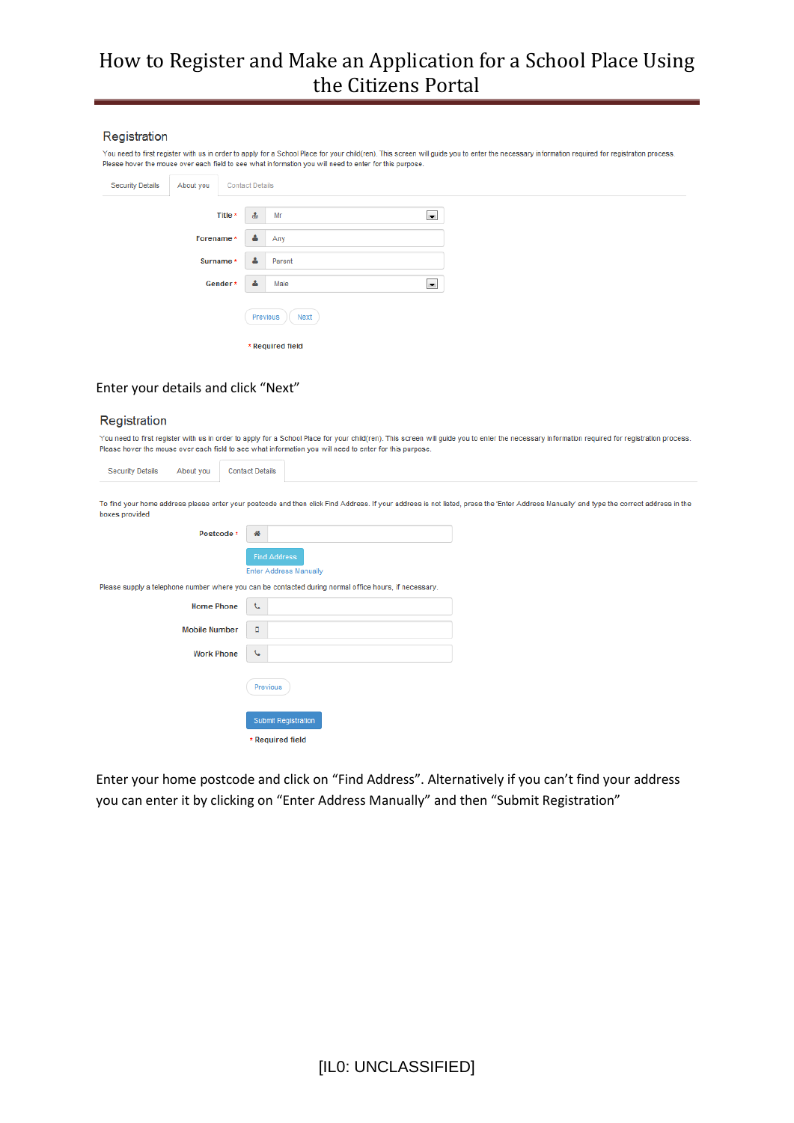#### Registration

You need to first register with us in order to apply for a School Place for your child(ren). This screen will guide you to enter the necessary information required for registration process. Please hover the mouse over each field to see what information you will need to enter for this purpose.

| <b>Security Details</b> | About you |           | <b>Contact Details</b> |                        |  |
|-------------------------|-----------|-----------|------------------------|------------------------|--|
|                         |           | Title *   | 畵                      | $\blacksquare$<br>Mr   |  |
|                         | Forename* |           | Δ                      | Any                    |  |
|                         |           | Surname * | A                      | Parent                 |  |
|                         |           | Gender*   | Δ                      | $\blacksquare$<br>Male |  |
|                         |           |           | Previous               | Next                   |  |
|                         |           |           |                        | * Required field       |  |

#### Enter your details and click "Next"

#### Registration

You need to first register with us in order to apply for a School Place for your child(ren). This screen will guide you to enter the necessary information required for registration process. Please hover the mouse over each field to see what information you will need to enter for this purpose.

| <b>Security Details</b><br>About you | <b>Contact Details</b> |                                                                                                                                                                                         |
|--------------------------------------|------------------------|-----------------------------------------------------------------------------------------------------------------------------------------------------------------------------------------|
| boxes provided                       |                        | To find your home address please enter your postcode and then click Find Address. If your address is not listed, press the 'Enter Address Manually' and type the correct address in the |
| Postcode *                           | 聋                      |                                                                                                                                                                                         |
|                                      | <b>Find Address</b>    |                                                                                                                                                                                         |
|                                      |                        | <b>Enter Address Manually</b>                                                                                                                                                           |
|                                      |                        | Please supply a telephone number where you can be contacted during normal office hours, if necessary.                                                                                   |
| <b>Home Phone</b>                    | J                      |                                                                                                                                                                                         |
| <b>Mobile Number</b>                 | п                      |                                                                                                                                                                                         |
| <b>Work Phone</b>                    | J                      |                                                                                                                                                                                         |
|                                      | Previous               |                                                                                                                                                                                         |
|                                      |                        | Submit Registration                                                                                                                                                                     |
|                                      | * Required field       |                                                                                                                                                                                         |

Enter your home postcode and click on "Find Address". Alternatively if you can't find your address you can enter it by clicking on "Enter Address Manually" and then "Submit Registration"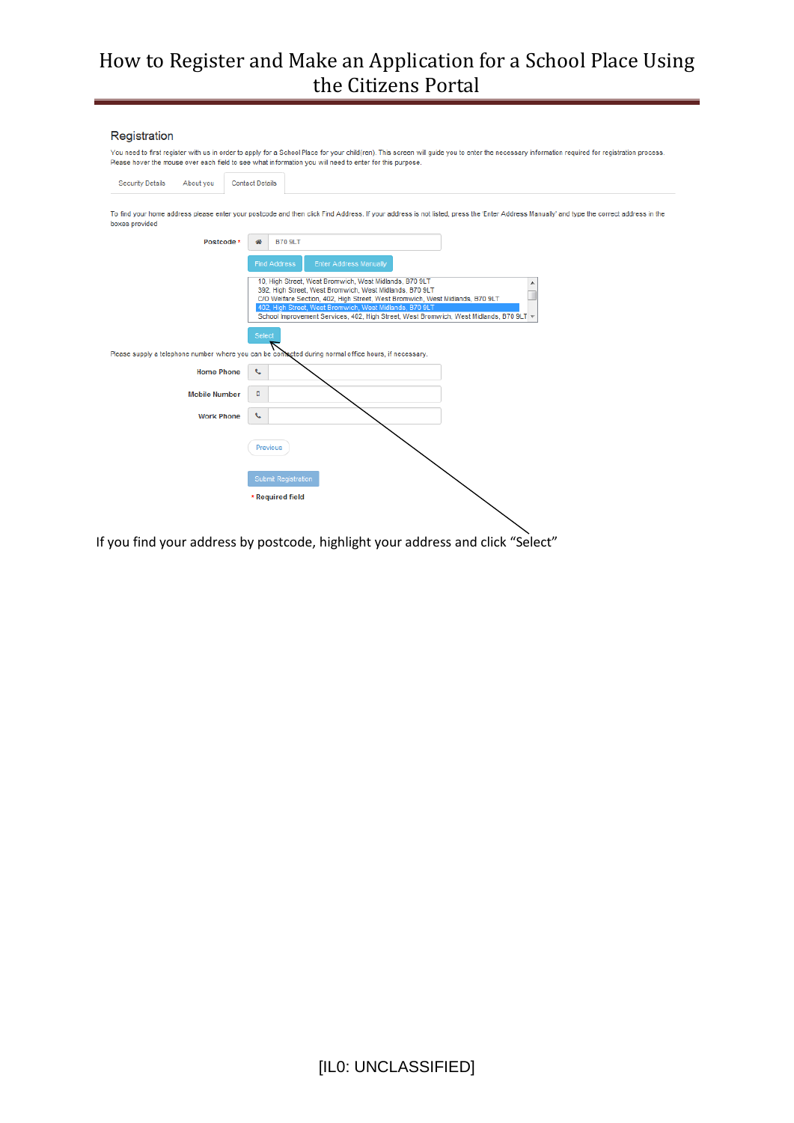#### Registration

You need to first register with us in order to apply for a School Place for your child(ren). This screen will guide you to enter the necessary information required for registration process.<br>Please hover the mouse over each

| <b>Security Details</b> | About you            | <b>Contact Details</b> |                                                                                                                                                                                                                                                                                                                                                        |
|-------------------------|----------------------|------------------------|--------------------------------------------------------------------------------------------------------------------------------------------------------------------------------------------------------------------------------------------------------------------------------------------------------------------------------------------------------|
| boxes provided          |                      |                        | To find your home address please enter your postcode and then click Find Address. If your address is not listed, press the 'Enter Address Manually' and type the correct address in the                                                                                                                                                                |
|                         | Postcode *           |                        | <b>B70 9LT</b>                                                                                                                                                                                                                                                                                                                                         |
|                         |                      |                        | <b>Enter Address Manually</b><br><b>Find Address</b>                                                                                                                                                                                                                                                                                                   |
|                         |                      |                        | 10, High Street, West Bromwich, West Midlands, B70 9LT<br>392, High Street, West Bromwich, West Midlands, B70 9LT<br>C/O Welfare Section, 402, High Street, West Bromwich, West Midlands, B70 9LT<br>402, High Street, West Bromwich, West Midlands, B70 9LT<br>School Improvement Services, 402, High Street, West Bromwich, West Midlands, B70 9LT + |
|                         |                      | Select                 | Please supply a telephone number where you can be contacted during normal office hours, if necessary.                                                                                                                                                                                                                                                  |
|                         | <b>Home Phone</b>    | t.                     |                                                                                                                                                                                                                                                                                                                                                        |
|                         | <b>Mobile Number</b> | п                      |                                                                                                                                                                                                                                                                                                                                                        |
|                         | <b>Work Phone</b>    | J                      |                                                                                                                                                                                                                                                                                                                                                        |
|                         |                      |                        | Previous                                                                                                                                                                                                                                                                                                                                               |
|                         |                      |                        | <b>Submit Registration</b>                                                                                                                                                                                                                                                                                                                             |
|                         |                      |                        | * Required field                                                                                                                                                                                                                                                                                                                                       |

If you find your address by postcode, highlight your address and click "Select"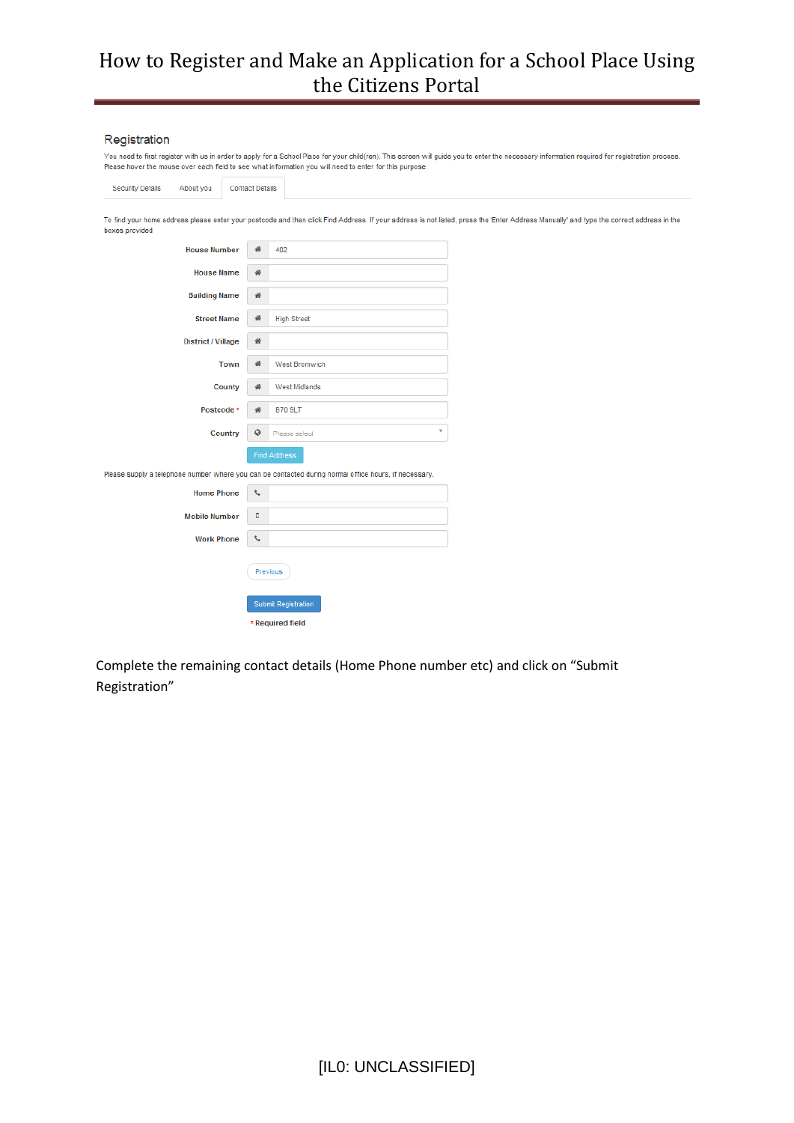#### Registration

|                                      | You need to first register with us in order to apply for a School Place for your child(ren). This screen will guide you to enter the necessary information required for registration process.<br>Please hover the mouse over each field to see what information you will need to enter for this purpose. |
|--------------------------------------|----------------------------------------------------------------------------------------------------------------------------------------------------------------------------------------------------------------------------------------------------------------------------------------------------------|
| <b>Security Details</b><br>About you | <b>Contact Details</b>                                                                                                                                                                                                                                                                                   |
| boxes provided                       | To find your home address please enter your postcode and then click Find Address. If your address is not listed, press the 'Enter Address Manually' and type the correct address in the                                                                                                                  |
| <b>House Number</b>                  | 聋<br>402                                                                                                                                                                                                                                                                                                 |
| <b>House Name</b>                    | 聋                                                                                                                                                                                                                                                                                                        |
| <b>Building Name</b>                 | 聋                                                                                                                                                                                                                                                                                                        |
| <b>Street Name</b>                   | 聋<br><b>High Street</b>                                                                                                                                                                                                                                                                                  |
| <b>District / Village</b>            | 聋                                                                                                                                                                                                                                                                                                        |
| Town                                 | 聋<br>West Bromwich                                                                                                                                                                                                                                                                                       |
| <b>County</b>                        | 聋<br><b>West Midlands</b>                                                                                                                                                                                                                                                                                |
| Postcode *                           | 聋<br><b>B70 9LT</b>                                                                                                                                                                                                                                                                                      |
| Country                              | $\overline{\mathbf{v}}$<br>$\ddot{\mathbf{Q}}$<br>Please select                                                                                                                                                                                                                                          |
|                                      | Find Address                                                                                                                                                                                                                                                                                             |
|                                      | Please supply a telephone number where you can be contacted during normal office hours, if necessary.                                                                                                                                                                                                    |
| <b>Home Phone</b>                    | $\mathbf{C}$                                                                                                                                                                                                                                                                                             |
| <b>Mobile Number</b>                 | ۵                                                                                                                                                                                                                                                                                                        |
| <b>Work Phone</b>                    | t.                                                                                                                                                                                                                                                                                                       |
|                                      | Previous                                                                                                                                                                                                                                                                                                 |
|                                      | Submit Registration                                                                                                                                                                                                                                                                                      |
|                                      | * Required field                                                                                                                                                                                                                                                                                         |

Complete the remaining contact details (Home Phone number etc) and click on "Submit Registration"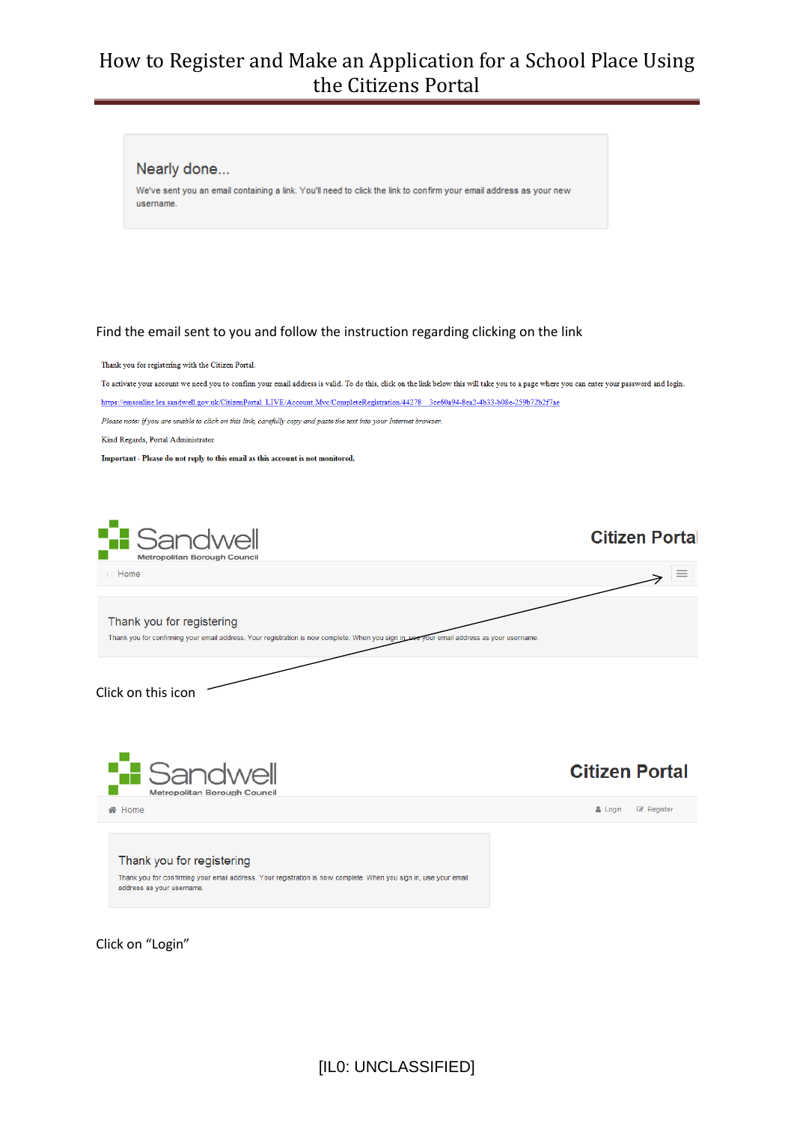We've sent you an email containing a link. You'll need to click the link to confirm your email address as your new



Click on "Login"

Nearly done...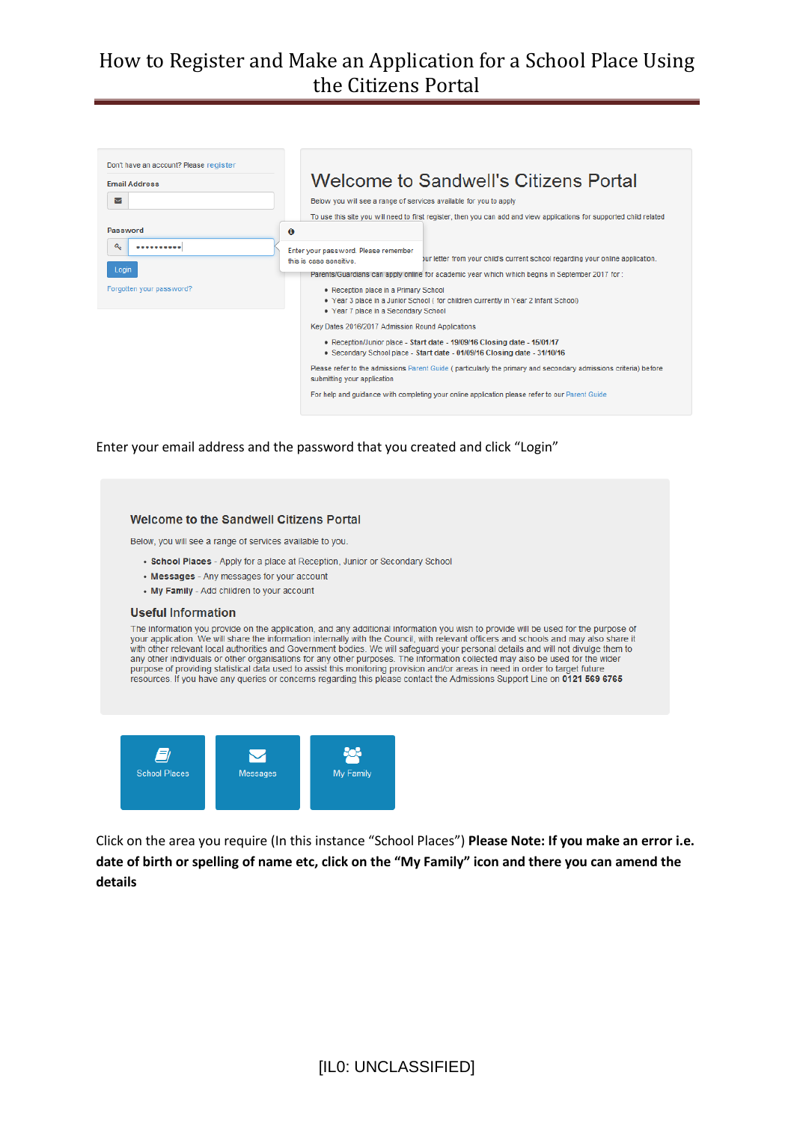

Enter your email address and the password that you created and click "Login"



Click on the area you require (In this instance "School Places") **Please Note: If you make an error i.e. date of birth or spelling of name etc, click on the "My Family" icon and there you can amend the details**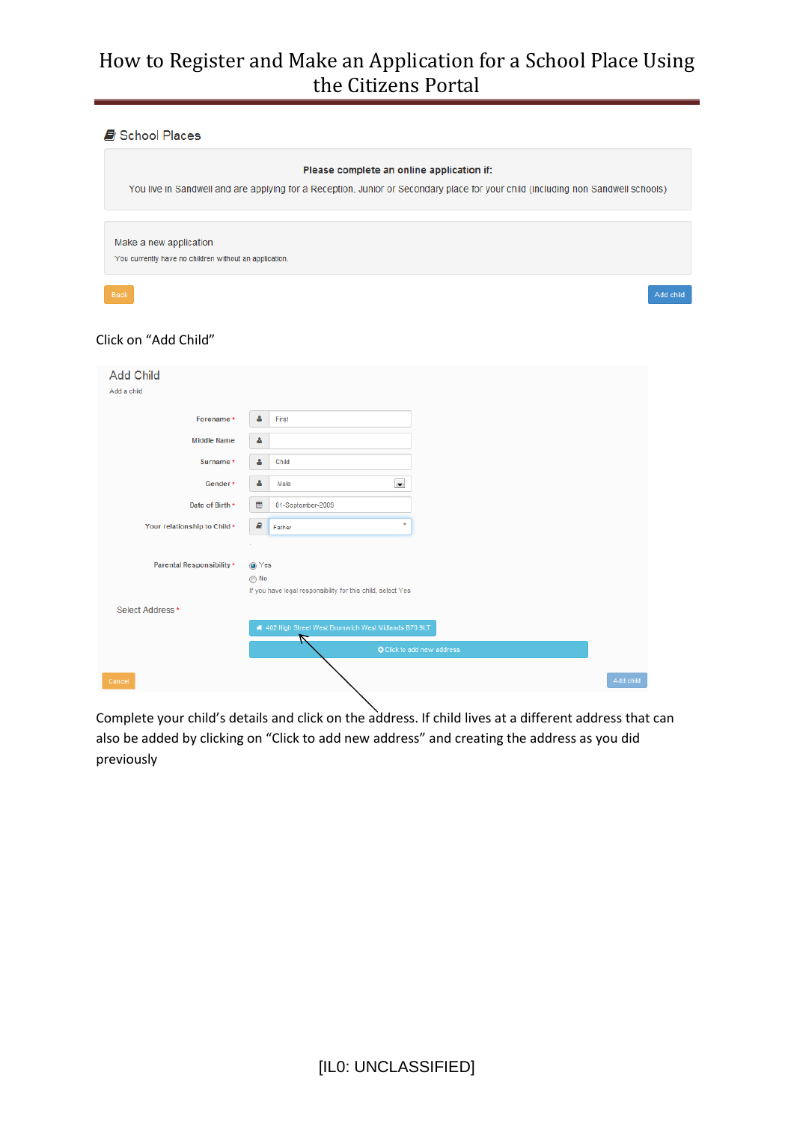School Places

| Please complete an online application if:                                                                                        |           |
|----------------------------------------------------------------------------------------------------------------------------------|-----------|
| You live in Sandwell and are applying for a Reception, Junior or Secondary place for your child (including non Sandwell schools) |           |
|                                                                                                                                  |           |
| Make a new application                                                                                                           |           |
| You currently have no children without an application.                                                                           |           |
| Back                                                                                                                             | Add child |
|                                                                                                                                  |           |

#### Click on "Add Child"

| <b>Add Child</b>             |                                                             |
|------------------------------|-------------------------------------------------------------|
| Add a child                  |                                                             |
| Forename*                    | Δ<br>First                                                  |
| <b>Middle Name</b>           | δ                                                           |
| Surname *                    | Δ<br>Child                                                  |
| Gender*                      | $\blacksquare$<br>Δ<br>Male                                 |
| Date of Birth *              | 巤<br>01-September-2009                                      |
| Your relationship to Child * | ₽<br>$\mathbf{v}$<br>Father                                 |
|                              |                                                             |
| Parental Responsibility *    | O Yes                                                       |
|                              | ◯ No                                                        |
|                              | If you have legal responsibility for this child, select Yes |
| Select Address*              |                                                             |
|                              | 4 402 High Street West Bromwich West Midlands B70 9LT       |
|                              | O Click to add new address                                  |
|                              |                                                             |
| Cancel                       | Add child                                                   |

Complete your child's details and click on the address. If child lives at a different address that can also be added by clicking on "Click to add new address" and creating the address as you did previously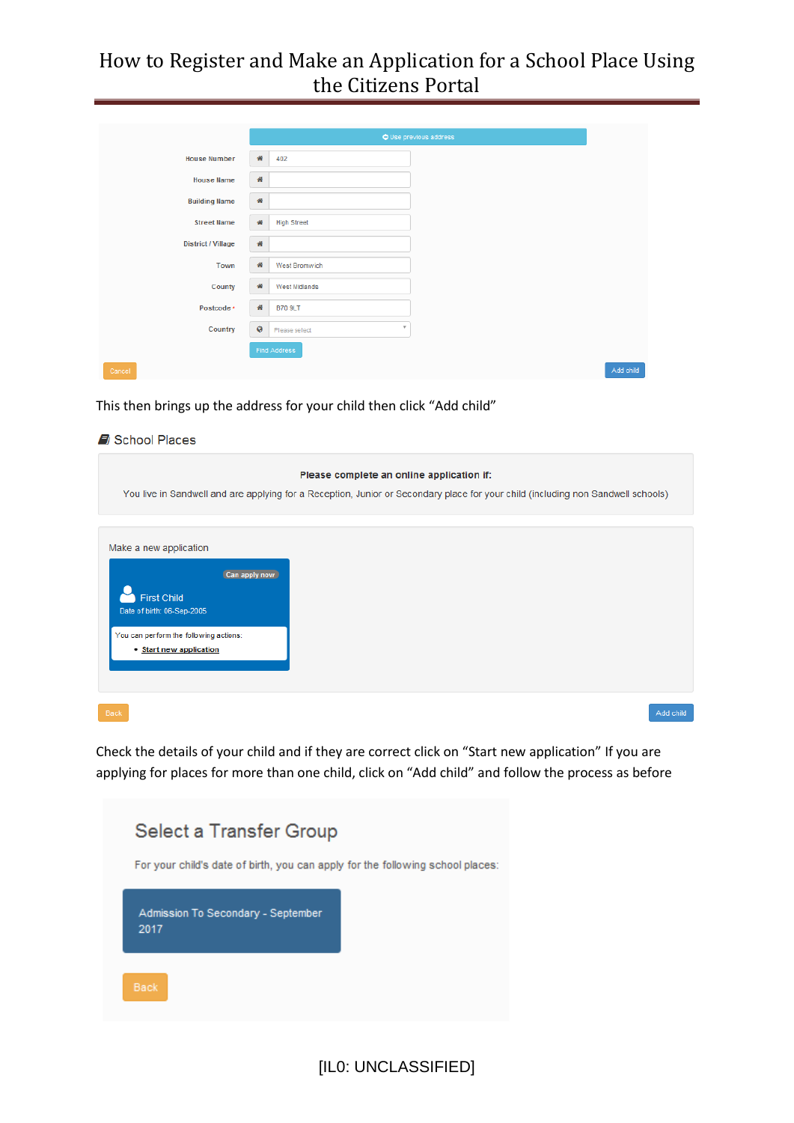|                           |         |                               | O Use previous address |
|---------------------------|---------|-------------------------------|------------------------|
| <b>House Number</b>       | 聋       | 402                           |                        |
| <b>House Name</b>         | 晋       |                               |                        |
| <b>Building Name</b>      | 晋       |                               |                        |
| <b>Street Name</b>        | 番       | <b>High Street</b>            |                        |
| <b>District / Village</b> | 晋       |                               |                        |
| Town                      | 骨       | West Bromwich                 |                        |
| County                    | 聋       | <b>West Midlands</b>          |                        |
| Postcode *                | 酱       | <b>B70 9LT</b>                |                        |
| Country                   | $\circ$ | $\mathbf{v}$<br>Please select |                        |
|                           |         | <b>Find Address</b>           |                        |
| Cancel                    |         |                               |                        |

This then brings up the address for your child then click "Add child"

| School Places                                                                                                                                                    |                                                                                                                                                                               |
|------------------------------------------------------------------------------------------------------------------------------------------------------------------|-------------------------------------------------------------------------------------------------------------------------------------------------------------------------------|
|                                                                                                                                                                  | Please complete an online application if:<br>You live in Sandwell and are applying for a Reception, Junior or Secondary place for your child (including non Sandwell schools) |
|                                                                                                                                                                  |                                                                                                                                                                               |
| Make a new application<br>Can apply now<br><b>First Child</b><br>Date of birth: 06-Sep-2005<br>You can perform the following actions:<br>• Start new application |                                                                                                                                                                               |
|                                                                                                                                                                  |                                                                                                                                                                               |
|                                                                                                                                                                  |                                                                                                                                                                               |
| Back                                                                                                                                                             | Add child                                                                                                                                                                     |
| .                                                                                                                                                                |                                                                                                                                                                               |

Check the details of your child and if they are correct click on "Start new application" If you are applying for places for more than one child, click on "Add child" and follow the process as before

| Select a Transfer Group<br>For your child's date of birth, you can apply for the following school places: |  |
|-----------------------------------------------------------------------------------------------------------|--|
| Admission To Secondary - September<br>2017                                                                |  |
| <b>Back</b>                                                                                               |  |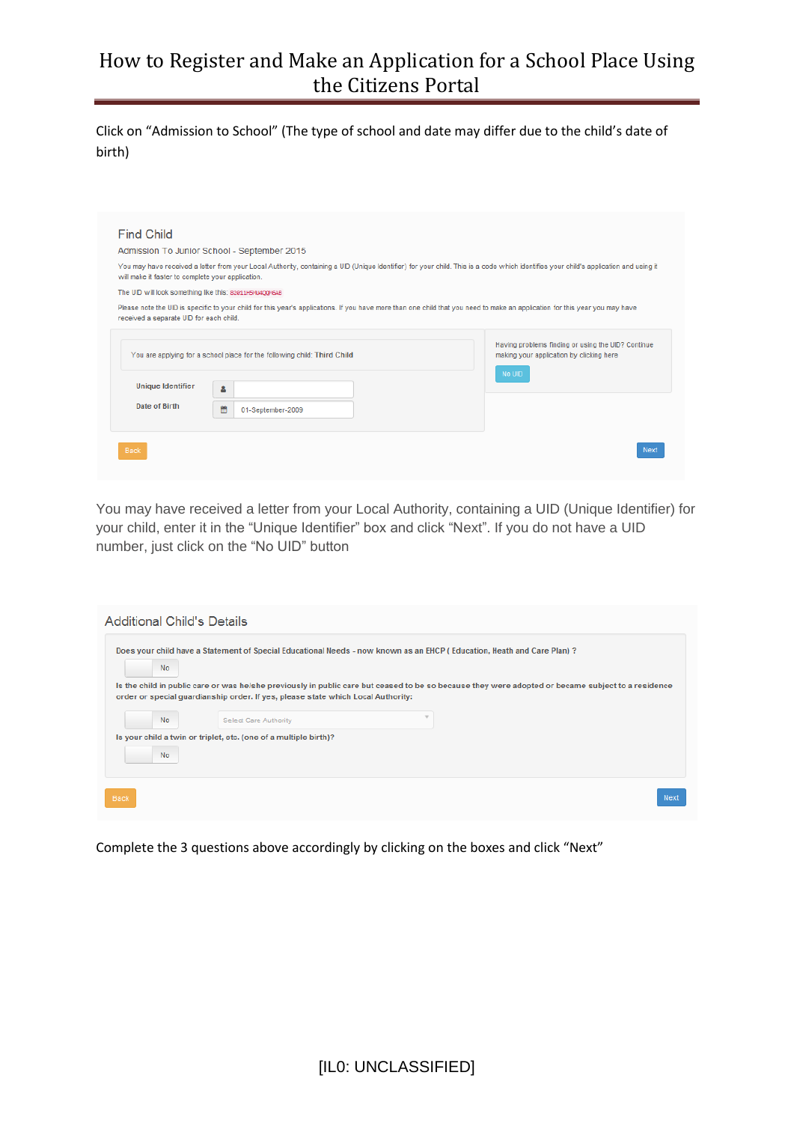Click on "Admission to School" (The type of school and date may differ due to the child's date of birth)

|                                                         | Admission To Junior School - September 2015                                                                                                                                          |                                                                                                          |
|---------------------------------------------------------|--------------------------------------------------------------------------------------------------------------------------------------------------------------------------------------|----------------------------------------------------------------------------------------------------------|
| will make it faster to complete your application.       | You may have received a letter from your Local Authority, containing a UID (Unique Identifier) for your child. This is a code which identifies your child's application and using it |                                                                                                          |
| The UID will look something like this: 82811H5MJ400M6AB |                                                                                                                                                                                      |                                                                                                          |
| received a separate UID for each child.                 | Please note the UID is specific to your child for this year's applications. If you have more than one child that you need to make an application for this year you may have          |                                                                                                          |
|                                                         | You are applying for a school place for the following child: Third Child                                                                                                             | Having problems finding or using the UID? Continue<br>making your application by clicking here<br>No UID |
| <b>Unique Identifier</b>                                | Δ                                                                                                                                                                                    |                                                                                                          |
| Date of Birth                                           | 體<br>01-September-2009                                                                                                                                                               |                                                                                                          |
|                                                         |                                                                                                                                                                                      |                                                                                                          |

You may have received a letter from your Local Authority, containing a UID (Unique Identifier) for your child, enter it in the "Unique Identifier" box and click "Next". If you do not have a UID number, just click on the "No UID" button

| No |                                                                                  | Does your child have a Statement of Special Educational Needs - now known as an EHCP (Education, Heath and Care Plan)?                             |
|----|----------------------------------------------------------------------------------|----------------------------------------------------------------------------------------------------------------------------------------------------|
|    | order or special quardianship order. If yes, please state which Local Authority: | Is the child in public care or was he/she previously in public care but ceased to be so because they were adopted or became subject to a residence |
| No | <b>Select Care Authority</b>                                                     |                                                                                                                                                    |
|    |                                                                                  |                                                                                                                                                    |
| No | Is your child a twin or triplet, etc. (one of a multiple birth)?                 |                                                                                                                                                    |

Complete the 3 questions above accordingly by clicking on the boxes and click "Next"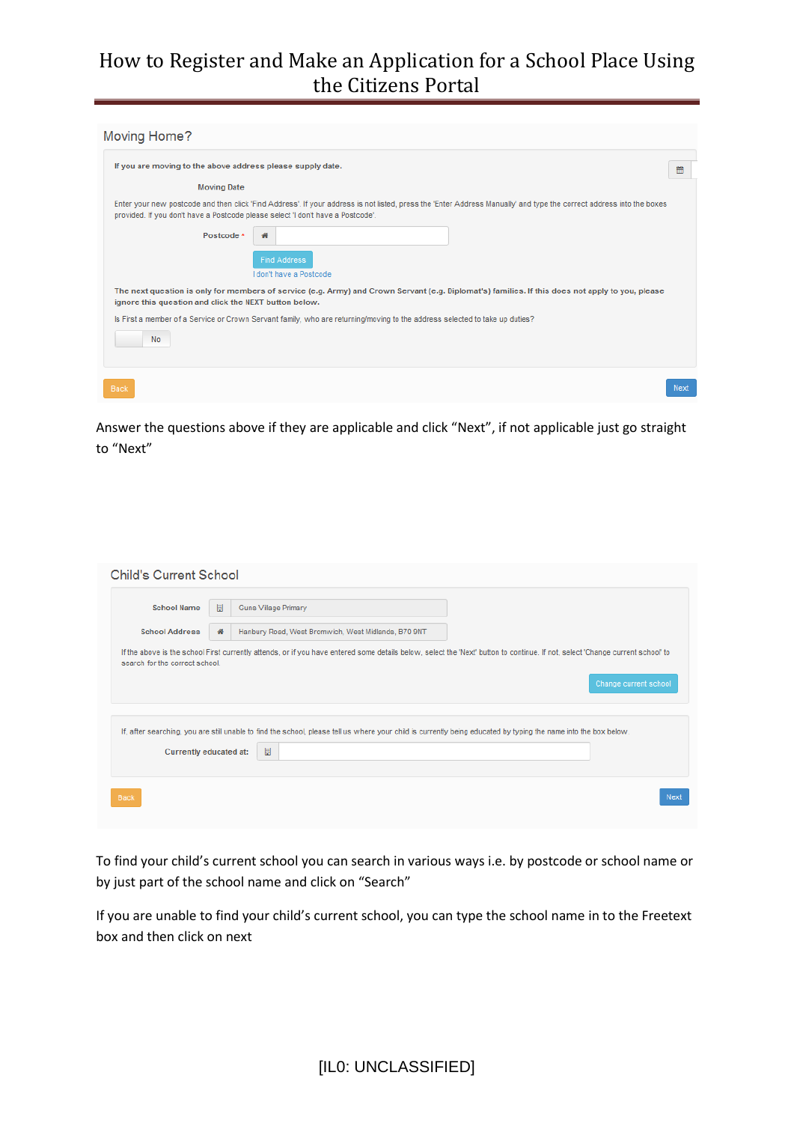| Moving Home?                                                                                                                                                                                                                                            |      |
|---------------------------------------------------------------------------------------------------------------------------------------------------------------------------------------------------------------------------------------------------------|------|
| If you are moving to the above address please supply date.                                                                                                                                                                                              | 巤    |
| <b>Moving Date</b>                                                                                                                                                                                                                                      |      |
| Enter your new postcode and then click 'Find Address'. If your address is not listed, press the 'Enter Address Manually' and type the correct address into the boxes<br>provided. If you don't have a Postcode please select 'I don't have a Postcode'. |      |
| Postcode *<br>聋                                                                                                                                                                                                                                         |      |
| <b>Find Address</b><br>I don't have a Postcode                                                                                                                                                                                                          |      |
| The next question is only for members of service (e.g. Army) and Crown Servant (e.g. Diplomat's) families. If this does not apply to you, please<br>ignore this question and click the NEXT button below.                                               |      |
| Is First a member of a Service or Crown Servant family, who are returning/moving to the address selected to take up duties?                                                                                                                             |      |
| No                                                                                                                                                                                                                                                      |      |
|                                                                                                                                                                                                                                                         |      |
|                                                                                                                                                                                                                                                         | Next |

Answer the questions above if they are applicable and click "Next", if not applicable just go straight to "Next"

| <b>School Name</b>             | 周<br><b>Guns Village Primary</b>                                                                                                                                                                        |
|--------------------------------|---------------------------------------------------------------------------------------------------------------------------------------------------------------------------------------------------------|
| <b>School Address</b>          | Hanbury Road, West Bromwich, West Midlands, B70 9NT<br>聋                                                                                                                                                |
| search for the correct school. | If the above is the school First currently attends, or if you have entered some details below, select the 'Next' button to continue. If not, select 'Change current school' to<br>Change current school |
|                                |                                                                                                                                                                                                         |
|                                | If, after searching, you are still unable to find the school, please tell us where your child is currently being educated by typing the name into the box below.                                        |
| Currently educated at:         | 圖                                                                                                                                                                                                       |

To find your child's current school you can search in various ways i.e. by postcode or school name or by just part of the school name and click on "Search"

If you are unable to find your child's current school, you can type the school name in to the Freetext box and then click on next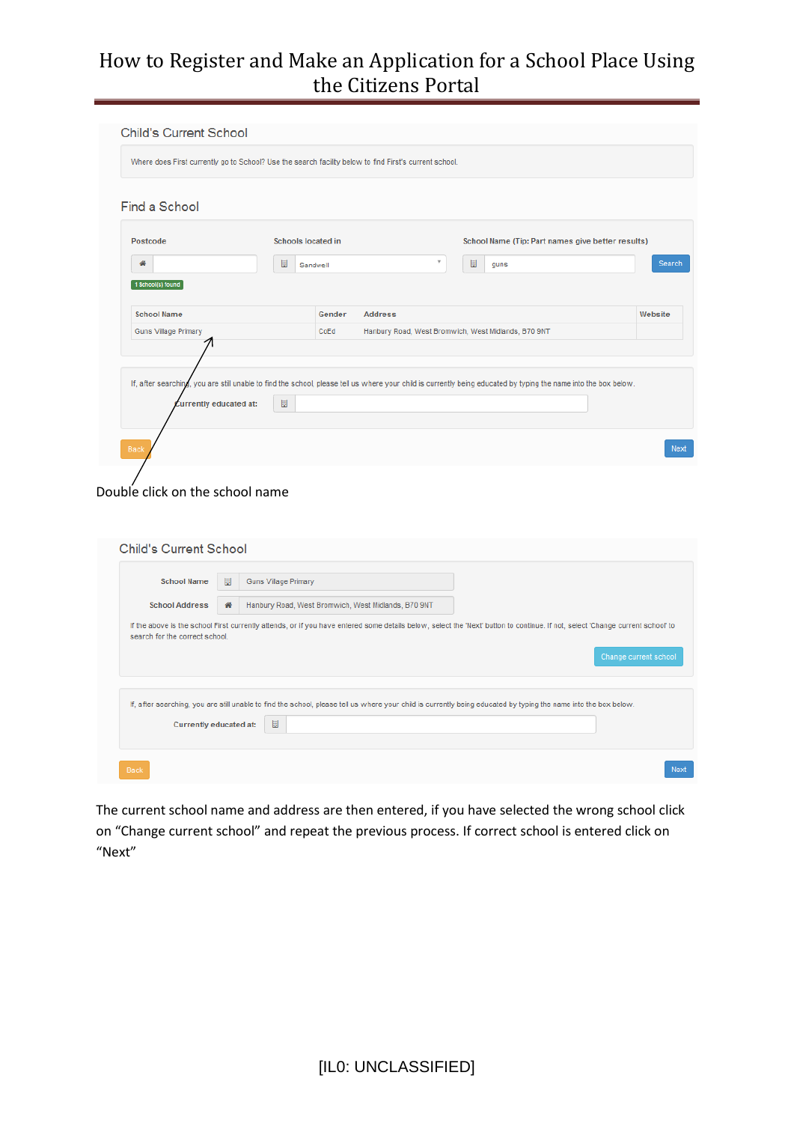| Find a School                                     | Where does First currently go to School? Use the search facility below to find First's current school.                                                           |                                                     |         |
|---------------------------------------------------|------------------------------------------------------------------------------------------------------------------------------------------------------------------|-----------------------------------------------------|---------|
| Postcode                                          | <b>Schools located in</b>                                                                                                                                        | School Name (Tip: Part names give better results)   |         |
| 聋                                                 | 圖<br>Sandwell                                                                                                                                                    | $\overline{\mathbf v}$<br>圖<br>guns                 | Search  |
| <b>School Name</b><br><b>Guns Village Primary</b> | <b>Address</b><br>Gender<br>CoEd                                                                                                                                 | Hanbury Road, West Bromwich, West Midlands, B70 9NT | Website |
|                                                   |                                                                                                                                                                  |                                                     |         |
|                                                   | If, after searching, you are still unable to find the school, please tell us where your child is currently being educated by typing the name into the box below. |                                                     |         |

#### Double click on the school name

| <b>School Name</b>             | 圓<br><b>Guns Village Primary</b>                                                                                                                                               |                       |
|--------------------------------|--------------------------------------------------------------------------------------------------------------------------------------------------------------------------------|-----------------------|
| <b>School Address</b>          | Hanbury Road, West Bromwich, West Midlands, B70 9NT<br>聋                                                                                                                       |                       |
| search for the correct school. | If the above is the school First currently attends, or if you have entered some details below, select the 'Next' button to continue. If not, select 'Change current school' to | Change current school |
|                                | If, after searching, you are still unable to find the school, please tell us where your child is currently being educated by typing the name into the box below.               |                       |
|                                | 圖                                                                                                                                                                              |                       |

The current school name and address are then entered, if you have selected the wrong school click on "Change current school" and repeat the previous process. If correct school is entered click on "Next"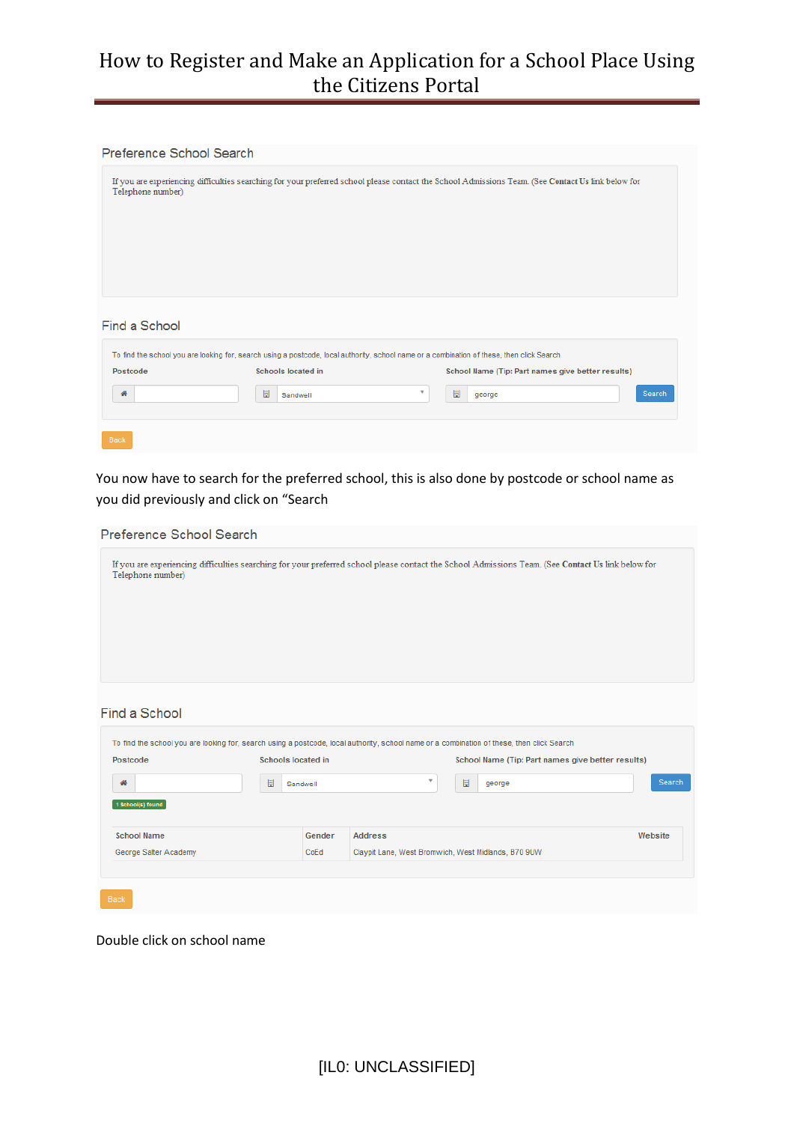#### Preference School Search

| Telephone number) |                           | If you are experiencing difficulties searching for your preferred school please contact the School Admissions Team. (See Contact Us link below for |
|-------------------|---------------------------|----------------------------------------------------------------------------------------------------------------------------------------------------|
|                   |                           |                                                                                                                                                    |
|                   |                           |                                                                                                                                                    |
|                   |                           |                                                                                                                                                    |
| Find a School     |                           |                                                                                                                                                    |
|                   |                           | To find the school you are looking for, search using a postcode, local authority, school name or a combination of these, then click Search         |
| Postcode          | <b>Schools located in</b> | School Name (Tip: Part names give better results)                                                                                                  |
| 聋                 | 圖<br>Sandwell             | v<br>圖<br>Search<br>george                                                                                                                         |
|                   |                           |                                                                                                                                                    |
| Back              |                           |                                                                                                                                                    |

You now have to search for the preferred school, this is also done by postcode or school name as you did previously and click on "Search

| Preference School Search                                                                                                                                    |                           |          |                                                     |   |                                                                                                                                                    |         |        |
|-------------------------------------------------------------------------------------------------------------------------------------------------------------|---------------------------|----------|-----------------------------------------------------|---|----------------------------------------------------------------------------------------------------------------------------------------------------|---------|--------|
| Telephone number)                                                                                                                                           |                           |          |                                                     |   | If you are experiencing difficulties searching for your preferred school please contact the School Admissions Team. (See Contact Us link below for |         |        |
| Find a School<br>To find the school you are looking for, search using a postcode, local authority, school name or a combination of these, then click Search |                           |          |                                                     |   |                                                                                                                                                    |         |        |
| Postcode                                                                                                                                                    | <b>Schools located in</b> |          |                                                     |   | School Name (Tip: Part names give better results)                                                                                                  |         |        |
| 聋<br>1 School(s) found                                                                                                                                      | 圖                         | Sandwell | ۳                                                   | 圖 | george                                                                                                                                             |         | Search |
| <b>School Name</b>                                                                                                                                          |                           | Gender   | <b>Address</b>                                      |   |                                                                                                                                                    | Website |        |
| George Salter Academy                                                                                                                                       |                           | CoEd     | Claynit Lane, West Bromwich, West Midlands, B70 9UW |   |                                                                                                                                                    |         |        |

Double click on school name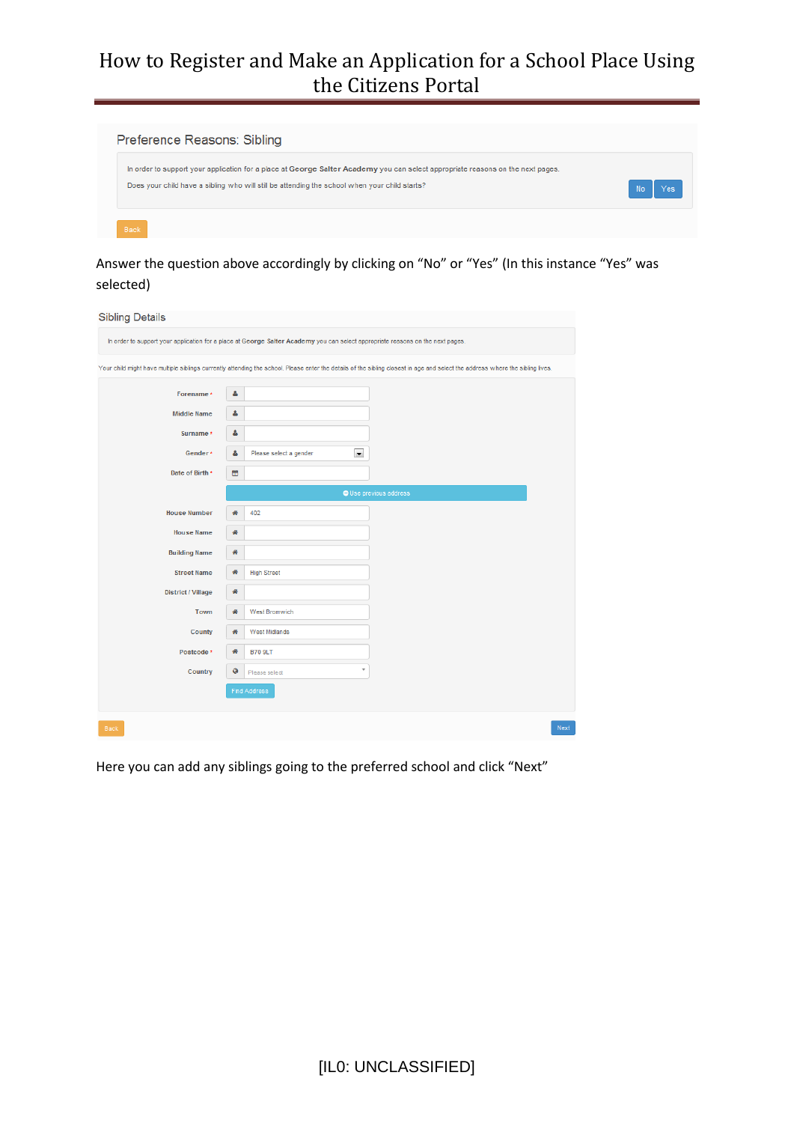| Preference Reasons: Sibling                                                                                                     |     |
|---------------------------------------------------------------------------------------------------------------------------------|-----|
| In order to support your application for a place at George Salter Academy you can select appropriate reasons on the next pages. | No  |
| Does your child have a sibling who will still be attending the school when your child starts?                                   | Yes |

Answer the question above accordingly by clicking on "No" or "Yes" (In this instance "Yes" was selected)

#### **Sibling Details**

|                           |    | In order to support your application for a place at George Salter Academy you can select appropriate reasons on the next pages. |                                                                                                                                                                                |
|---------------------------|----|---------------------------------------------------------------------------------------------------------------------------------|--------------------------------------------------------------------------------------------------------------------------------------------------------------------------------|
|                           |    |                                                                                                                                 | Your child might have multiple siblings currently attending the school. Please enter the details of the sibling closest in age and select the address where the sibling lives. |
| Forename*                 | δ  |                                                                                                                                 |                                                                                                                                                                                |
| <b>Middle Name</b>        | δ  |                                                                                                                                 |                                                                                                                                                                                |
| Surname *                 | 4  |                                                                                                                                 |                                                                                                                                                                                |
| Gender*                   | ۵. | $\blacksquare$<br>Please select a gender                                                                                        |                                                                                                                                                                                |
| Date of Birth *           | 巤  |                                                                                                                                 |                                                                                                                                                                                |
|                           |    |                                                                                                                                 | O Use previous address                                                                                                                                                         |
| <b>House Number</b>       | 聋  | 402                                                                                                                             |                                                                                                                                                                                |
| <b>House Name</b>         | 聋  |                                                                                                                                 |                                                                                                                                                                                |
| <b>Building Name</b>      | 聋  |                                                                                                                                 |                                                                                                                                                                                |
| <b>Street Name</b>        | 聋  | <b>High Street</b>                                                                                                              |                                                                                                                                                                                |
| <b>District / Village</b> | 聋  |                                                                                                                                 |                                                                                                                                                                                |
| Town                      | 聋  | <b>West Bromwich</b>                                                                                                            |                                                                                                                                                                                |
| <b>County</b>             | 聋  | <b>West Midlands</b>                                                                                                            |                                                                                                                                                                                |
| Postcode *                | 聋  | <b>B70 9LT</b>                                                                                                                  |                                                                                                                                                                                |
| Country                   | Ø  | $\overline{\phantom{a}}$<br>Please select                                                                                       |                                                                                                                                                                                |
|                           |    | <b>Find Address</b>                                                                                                             |                                                                                                                                                                                |
|                           |    |                                                                                                                                 |                                                                                                                                                                                |
| <b>Back</b>               |    |                                                                                                                                 | Next                                                                                                                                                                           |

Here you can add any siblings going to the preferred school and click "Next"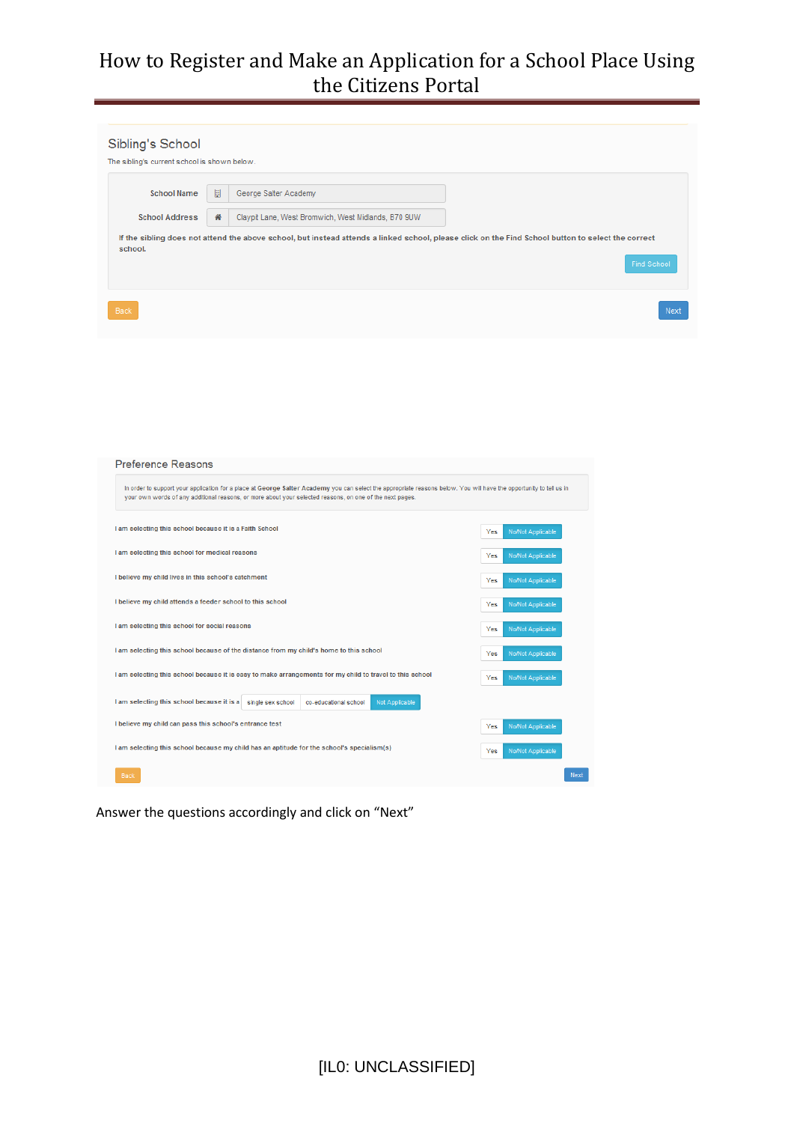|                       |   | The sibling's current school is shown below.        |                                                                                                                                                                          |
|-----------------------|---|-----------------------------------------------------|--------------------------------------------------------------------------------------------------------------------------------------------------------------------------|
| <b>School Name</b>    | 圈 | George Salter Academy                               |                                                                                                                                                                          |
| <b>School Address</b> | 聋 | Claypit Lane, West Bromwich, West Midlands, B70 9UW |                                                                                                                                                                          |
| school.               |   |                                                     | If the sibling does not attend the above school, but instead attends a linked school, please click on the Find School button to select the correct<br><b>Find School</b> |

| Preference Reasons                                                                                                                                                                                                                                                              |                                 |             |
|---------------------------------------------------------------------------------------------------------------------------------------------------------------------------------------------------------------------------------------------------------------------------------|---------------------------------|-------------|
| In order to support your application for a place at George Salter Academy you can select the appropriate reasons below. You will have the opportunity to tell us in<br>your own words of any additional reasons, or more about your selected reasons, on one of the next pages. |                                 |             |
| I am selecting this school because it is a Faith School                                                                                                                                                                                                                         | No/Not Applicable<br>Yes        |             |
| I am selecting this school for medical reasons                                                                                                                                                                                                                                  | <b>No/Not Applicable</b><br>Yes |             |
| I believe my child lives in this school's catchment                                                                                                                                                                                                                             | <b>No/Not Applicable</b><br>Yes |             |
| I believe my child attends a feeder school to this school                                                                                                                                                                                                                       | <b>No/Not Applicable</b><br>Yes |             |
| I am selecting this school for social reasons                                                                                                                                                                                                                                   | <b>No/Not Applicable</b><br>Yes |             |
| I am selecting this school because of the distance from my child's home to this school                                                                                                                                                                                          | Yes<br><b>No/Not Applicable</b> |             |
| I am selecting this school because it is easy to make arrangements for my child to travel to this school                                                                                                                                                                        | <b>No/Not Applicable</b><br>Yes |             |
| I am selecting this school because it is a<br>co-educational school<br><b>Not Applicable</b><br>single sex school                                                                                                                                                               |                                 |             |
| I believe my child can pass this school's entrance test                                                                                                                                                                                                                         | No/Not Applicable<br>Yes        |             |
| I am selecting this school because my child has an aptitude for the school's specialism(s)                                                                                                                                                                                      | No/Not Applicable<br>Yes        |             |
| Back                                                                                                                                                                                                                                                                            |                                 | <b>Next</b> |

Answer the questions accordingly and click on "Next"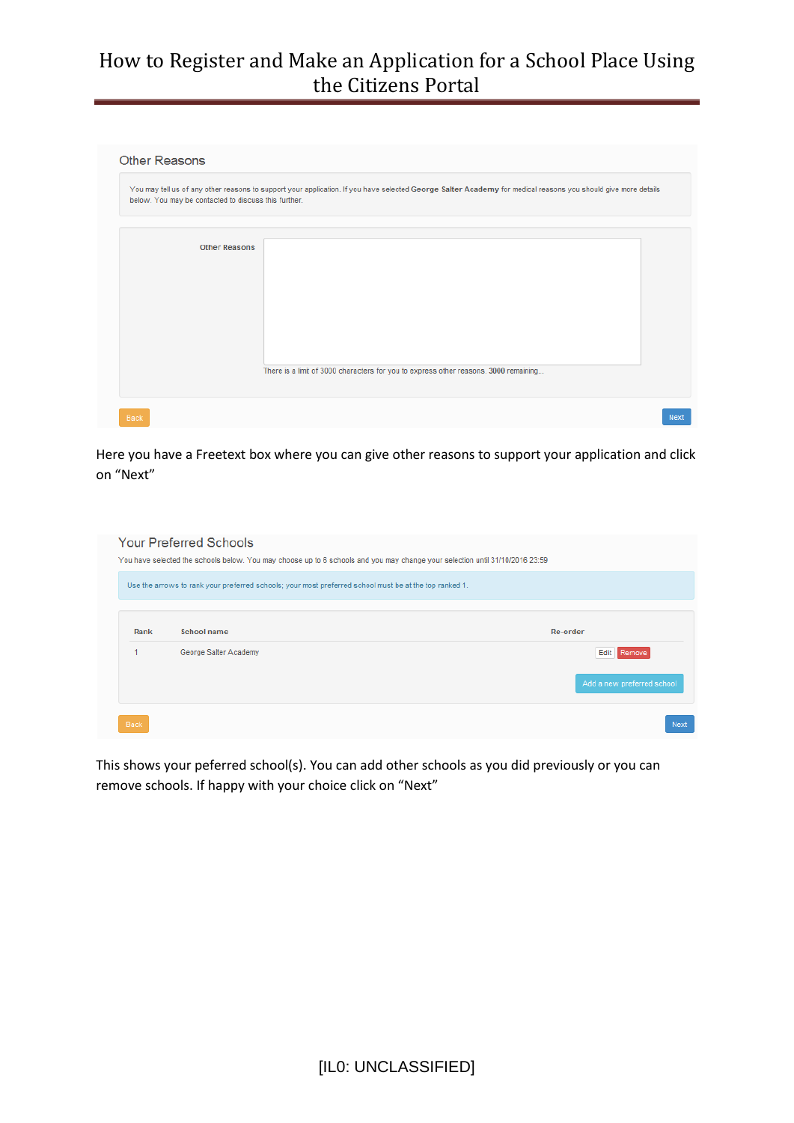| below. You may be contacted to discuss this further. | You may tell us of any other reasons to support your application. If you have selected George Salter Academy for medical reasons you should give more details |
|------------------------------------------------------|---------------------------------------------------------------------------------------------------------------------------------------------------------------|
| <b>Other Reasons</b>                                 |                                                                                                                                                               |
|                                                      |                                                                                                                                                               |
|                                                      |                                                                                                                                                               |
|                                                      | There is a limit of 3000 characters for you to express other reasons. 3000 remaining                                                                          |

Here you have a Freetext box where you can give other reasons to support your application and click on "Next"

|      | Use the arrows to rank your preferred schools; your most preferred school must be at the top ranked 1. |                            |
|------|--------------------------------------------------------------------------------------------------------|----------------------------|
| Rank | School name                                                                                            | Re-order                   |
|      | George Salter Academy                                                                                  | Edit Remove                |
|      |                                                                                                        | Add a new preferred school |

This shows your peferred school(s). You can add other schools as you did previously or you can remove schools. If happy with your choice click on "Next"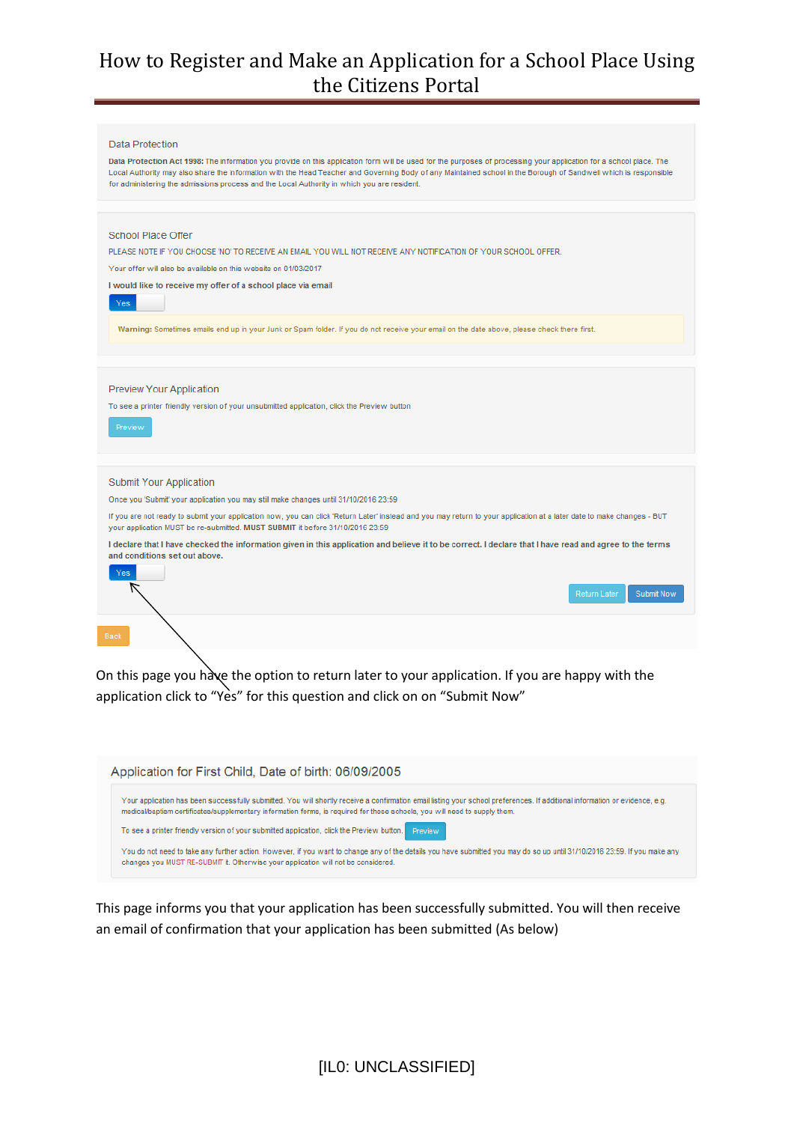

On this page you have the option to return later to your application. If you are happy with the application click to "Yes" for this question and click on on "Submit Now"



This page informs you that your application has been successfully submitted. You will then receive an email of confirmation that your application has been submitted (As below)

[IL0: UNCLASSIFIED]